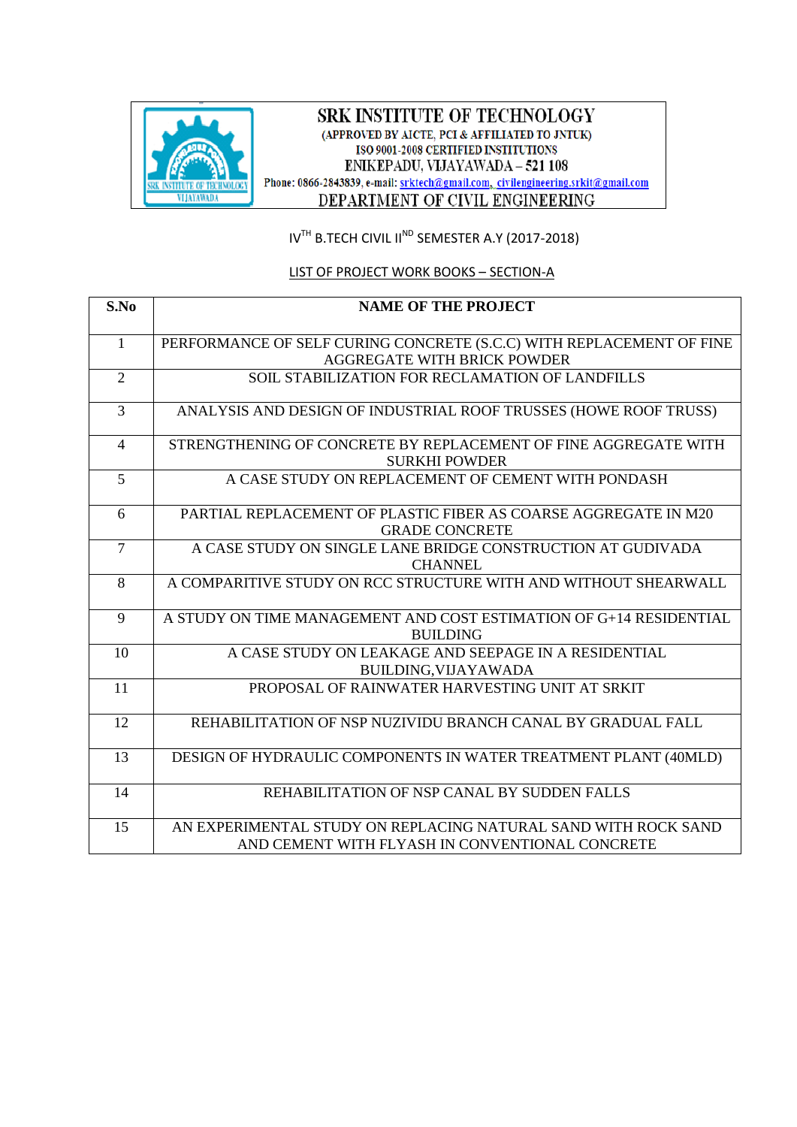

### SRK INSTITUTE OF TECHNOLOGY (APPROVED BY AICTE, PCI & AFFILIATED TO JNTUK) ISO 9001-2008 CERTIFIED INSTITUTIONS ENIKEPADU, VIJAYAWADA - 521 108 Phone: 0866-2843839, e-mail: srktech@gmail.com, civilengineering.srkit@gmail.com DEPARTMENT OF CIVIL ENGINEERING

IV<sup>TH</sup> B.TECH CIVIL II<sup>ND</sup> SEMESTER A.Y (2017-2018)

## LIST OF PROJECT WORK BOOKS – SECTION-A

| S.No           | <b>NAME OF THE PROJECT</b>                                           |
|----------------|----------------------------------------------------------------------|
|                |                                                                      |
| 1              | PERFORMANCE OF SELF CURING CONCRETE (S.C.C) WITH REPLACEMENT OF FINE |
|                | <b>AGGREGATE WITH BRICK POWDER</b>                                   |
| $\overline{2}$ | SOIL STABILIZATION FOR RECLAMATION OF LANDFILLS                      |
| $\overline{3}$ | ANALYSIS AND DESIGN OF INDUSTRIAL ROOF TRUSSES (HOWE ROOF TRUSS)     |
|                |                                                                      |
| $\overline{4}$ | STRENGTHENING OF CONCRETE BY REPLACEMENT OF FINE AGGREGATE WITH      |
|                | <b>SURKHI POWDER</b>                                                 |
| 5              | A CASE STUDY ON REPLACEMENT OF CEMENT WITH PONDASH                   |
| 6              | PARTIAL REPLACEMENT OF PLASTIC FIBER AS COARSE AGGREGATE IN M20      |
|                | <b>GRADE CONCRETE</b>                                                |
| $\overline{7}$ | A CASE STUDY ON SINGLE LANE BRIDGE CONSTRUCTION AT GUDIVADA          |
|                | <b>CHANNEL</b>                                                       |
| 8              | A COMPARITIVE STUDY ON RCC STRUCTURE WITH AND WITHOUT SHEARWALL      |
| 9              | A STUDY ON TIME MANAGEMENT AND COST ESTIMATION OF G+14 RESIDENTIAL   |
|                | <b>BUILDING</b>                                                      |
| 10             | A CASE STUDY ON LEAKAGE AND SEEPAGE IN A RESIDENTIAL                 |
|                | BUILDING, VIJAYAWADA                                                 |
| 11             | PROPOSAL OF RAINWATER HARVESTING UNIT AT SRKIT                       |
| 12             | REHABILITATION OF NSP NUZIVIDU BRANCH CANAL BY GRADUAL FALL          |
| 13             | DESIGN OF HYDRAULIC COMPONENTS IN WATER TREATMENT PLANT (40MLD)      |
|                |                                                                      |
| 14             | REHABILITATION OF NSP CANAL BY SUDDEN FALLS                          |
| 15             | AN EXPERIMENTAL STUDY ON REPLACING NATURAL SAND WITH ROCK SAND       |
|                | AND CEMENT WITH FLYASH IN CONVENTIONAL CONCRETE                      |